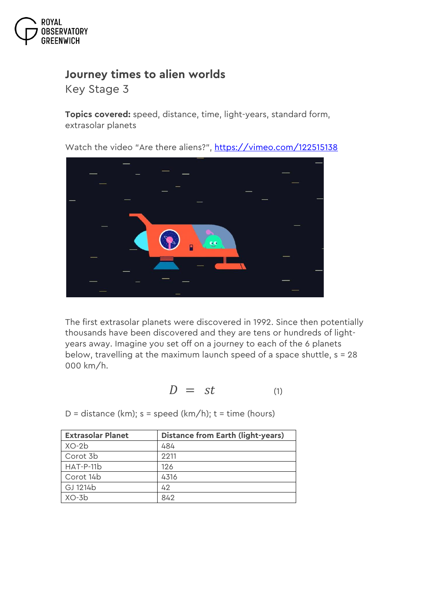

## **Journey times to alien worlds**

*Key Stage 3*

**Topics covered:** speed, distance, time, light-years, standard form, extrasolar planets

Watch the video "Are there aliens?", <https://vimeo.com/122515138>



The first extrasolar planets were discovered in 1992. Since then potentially thousands have been discovered and they are tens or hundreds of lightyears away. Imagine you set off on a journey to each of the 6 planets below, travelling at the maximum launch speed of a space shuttle, s = 28 000 km/h.

$$
D = st \qquad \qquad \text{(1)}
$$

D = distance (km);  $s = speed (km/h); t = time (hours)$ 

| <b>Extrasolar Planet</b> | <b>Distance from Earth (light-years)</b> |
|--------------------------|------------------------------------------|
| $XO-2b$                  | 484                                      |
| Corot 3b                 | 2211                                     |
| HAT-P-11b                | 126                                      |
| Corot 14b                | 4316                                     |
| GJ 1214b                 | 42                                       |
| $XO-3b$                  | 842                                      |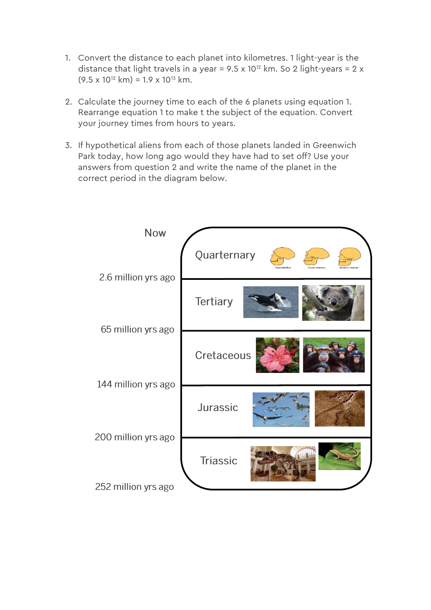- 1. Convert the distance to each planet into kilometres. 1 light-year is the distance that light travels in a year =  $9.5 \times 10^{12}$  km. So 2 light-years = 2 x  $(9.5 \times 10^{12} \text{ km}) = 1.9 \times 10^{13} \text{ km}$ .
- 2. Calculate the journey time to each of the 6 planets using equation 1. Rearrange equation 1 to make t the subject of the equation. Convert your journey times from hours to years.
- 3. If hypothetical aliens from each of those planets landed in Greenwich Park today, how long ago would they have had to set off? Use your answers from question 2 and write the name of the planet in the correct period in the diagram below.